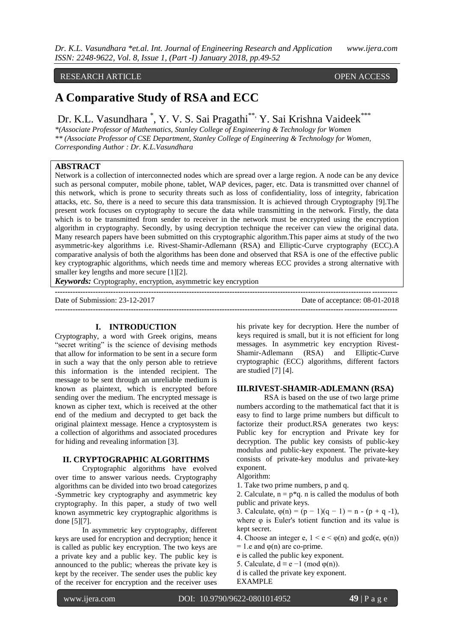## RESEARCH ARTICLE **CONSERVERS** OPEN ACCESS

# **A Comparative Study of RSA and ECC**

Dr. K.L. Vasundhara <sup>\*</sup>, Y. V. S. Sai Pragathi<sup>\*\*,</sup> Y. Sai Krishna Vaideek<sup>\*\*\*</sup>

*\*(Associate Professor of Mathematics, Stanley College of Engineering & Technology for Women \*\* (Associate Professor of CSE Department, Stanley College of Engineering & Technology for Women, Corresponding Author : Dr. K.L.Vasundhara*

## **ABSTRACT**

Network is a collection of interconnected nodes which are spread over a large region. A node can be any device such as personal computer, mobile phone, tablet, WAP devices, pager, etc. Data is transmitted over channel of this network, which is prone to security threats such as loss of confidentiality, loss of integrity, fabrication attacks, etc. So, there is a need to secure this data transmission. It is achieved through Cryptography [9].The present work focuses on cryptography to secure the data while transmitting in the network. Firstly, the data which is to be transmitted from sender to receiver in the network must be encrypted using the encryption algorithm in cryptography. Secondly, by using decryption technique the receiver can view the original data. Many research papers have been submitted on this cryptographic algorithm.This paper aims at study of the two asymmetric-key algorithms i.e. Rivest-Shamir-Adlemann (RSA) and Elliptic-Curve cryptography (ECC).A comparative analysis of both the algorithms has been done and observed that RSA is one of the effective public key cryptographic algorithms, which needs time and memory whereas ECC provides a strong alternative with smaller key lengths and more secure [1][2].

*Keywords:* Cryptography, encryption, asymmetric key encryption

| Date of Submission: 23-12-2017 | Date of acceptance: 08-01-2018 |
|--------------------------------|--------------------------------|
|                                |                                |

### **I. INTRODUCTION**

Cryptography, a word with Greek origins, means "secret writing" is the science of devising methods that allow for information to be sent in a secure form in such a way that the only person able to retrieve this information is the intended recipient. The message to be sent through an unreliable medium is known as plaintext, which is encrypted before sending over the medium. The encrypted message is known as cipher text, which is received at the other end of the medium and decrypted to get back the original plaintext message. Hence a cryptosystem is a collection of algorithms and associated procedures for hiding and revealing information [3].

#### **II. CRYPTOGRAPHIC ALGORITHMS**

Cryptographic algorithms have evolved over time to answer various needs. Cryptography algorithms can be divided into two broad categorizes -Symmetric key cryptography and asymmetric key cryptography. In this paper, a study of two well known asymmetric key cryptographic algorithms is done [5][7].

In asymmetric key cryptography, different keys are used for encryption and decryption; hence it is called as public key encryption. The two keys are a private key and a public key. The public key is announced to the public; whereas the private key is kept by the receiver. The sender uses the public key of the receiver for encryption and the receiver uses

his private key for decryption. Here the number of keys required is small, but it is not efficient for long messages. In asymmetric key encryption Rivest-Shamir-Adlemann (RSA) and Elliptic-Curve cryptographic (ECC) algorithms, different factors are studied [7] [4].

## **III.RIVEST-SHAMIR-ADLEMANN (RSA)**

RSA is based on the use of two large prime numbers according to the mathematical fact that it is easy to find to large prime numbers but difficult to factorize their product.RSA generates two keys: Public key for encryption and Private key for decryption. The public key consists of public-key modulus and public-key exponent. The private-key consists of private-key modulus and private-key exponent.

Algorithm:

1. Take two prime numbers, p and q.

2. Calculate,  $n = p*q$ . *n* is called the modulus of both public and private keys.

3. Calculate,  $\varphi(n) = (p - 1)(q - 1) = n - (p + q - 1)$ , where  $\varphi$  is Euler's totient function and its value is kept secret.

4. Choose an integer e,  $1 \le e \le \varphi(n)$  and gcd(e,  $\varphi(n)$ )

 $= 1.e$  and  $\varphi(n)$  are co-prime.

- e is called the public key exponent.
- 5. Calculate,  $d \equiv e 1 \pmod{\varphi(n)}$ . d is called the private key exponent.

EXAMPLE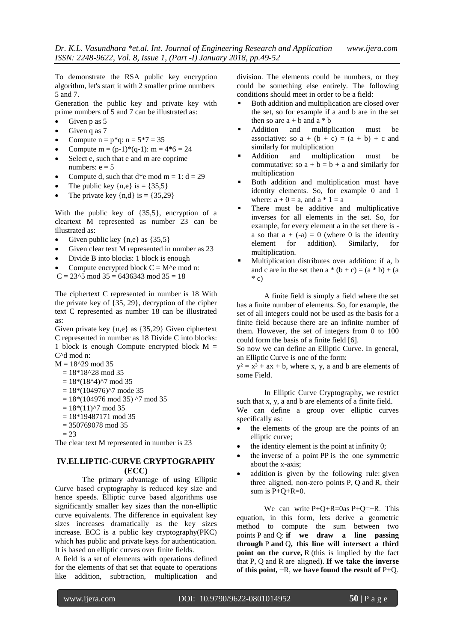To demonstrate the RSA public key encryption algorithm, let's start it with 2 smaller prime numbers 5 and 7.

Generation the public key and private key with prime numbers of 5 and 7 can be illustrated as:

- Given p as 5
- Given q as 7
- Compute  $n = p*q$ :  $n = 5*7 = 35$
- Compute  $m = (p-1)*(q-1)$ :  $m = 4*6 = 24$
- Select e, such that e and m are coprime numbers:  $e = 5$
- Compute d, such that  $d^*$ e mod m = 1:  $d = 29$
- The public key  $\{n,e\}$  is =  $\{35,5\}$
- The private key  $\{n,d\}$  is =  $\{35,29\}$

With the public key of {35,5}, encryption of a cleartext M represented as number 23 can be illustrated as:

- Given public key  $\{n,e\}$  as  $\{35,5\}$
- Given clear text M represented in number as 23
- Divide B into blocks: 1 block is enough
- Compute encrypted block  $C = M$ <sup> $\wedge$ </sup> e mod n:
- $C = 23^{6}$ 5 mod 35 = 6436343 mod 35 = 18

The ciphertext C represented in number is 18 With the private key of {35, 29}, decryption of the cipher text C represented as number 18 can be illustrated as:

Given private key {n,e} as {35,29} Given ciphertext C represented in number as 18 Divide C into blocks: 1 block is enough Compute encrypted block  $M =$ C^d mod n:

 $M = 18^{\circ}29 \mod 35$ 

- $= 18*18^228 \mod 35$
- $= 18*(18^{\text{A}})^{^\circ}$ 7 mod 35
- $= 18*(104976)^{2}$  mode 35
- $= 18*(104976 \text{ mod } 35)$  ^7 mod 35
- $= 18*(11)^{2}$  mod 35
- $= 18*19487171 \mod 35$
- $= 350769078 \mod 35$
- $= 23$

The clear text M represented in number is 23

## **IV.ELLIPTIC-CURVE CRYPTOGRAPHY (ECC)**

The primary advantage of using Elliptic Curve based cryptography is reduced key size and hence speeds. Elliptic curve based algorithms use significantly smaller key sizes than the non-elliptic curve equivalents. The difference in equivalent key sizes increases dramatically as the key sizes increase. ECC is a public key cryptography(PKC) which has public and private keys for authentication. It is based on elliptic curves over finite fields.

A field is a set of elements with operations defined for the elements of that set that equate to operations like addition, subtraction, multiplication and

division. The elements could be numbers, or they could be something else entirely. The following conditions should meet in order to be a field:

- Both addition and multiplication are closed over the set, so for example if a and b are in the set then so are  $a + b$  and  $a * b$
- Addition and multiplication must be associative: so  $a + (b + c) = (a + b) + c$  and similarly for multiplication
- Addition and multiplication must be commutative: so  $a + b = b + a$  and similarly for multiplication
- Both addition and multiplication must have identity elements. So, for example 0 and 1 where:  $a + 0 = a$ , and  $a * 1 = a$
- There must be additive and multiplicative inverses for all elements in the set. So, for example, for every element a in the set there is a so that  $a + (-a) = 0$  (where 0 is the identity element for addition). Similarly, for multiplication.
- Multiplication distributes over addition: if a, b and c are in the set then  $a * (b + c) = (a * b) + (a$  $*$  c)

A finite field is simply a field where the set has a finite number of elements. So, for example, the set of all integers could not be used as the basis for a finite field because there are an infinite number of them. However, the set of integers from 0 to 100 could form the basis of a finite field [6].

So now we can define an Elliptic Curve. In general, an Elliptic Curve is one of the form:

 $y^2 = x^3 + ax + b$ , where x, y, a and b are elements of some Field.

In Elliptic Curve Cryptography, we restrict such that x, y, a and b are elements of a finite field. We can define a group over elliptic curves specifically as:

- the elements of the group are the points of an elliptic curve;
- the identity element is the point at infinity 0;
- the inverse of a point PP is the one symmetric about the x-axis;
- addition is given by the following rule: given three aligned, non-zero points P, Q and R, their sum is  $P+Q+R=0$ .

We can write  $P+Q+R=0$ as  $P+Q=-R$ . This equation, in this form, lets derive a geometric method to compute the sum between two points P and Q: **if we draw a line passing through** P **and** Q**, this line will intersect a third point on the curve,** R (this is implied by the fact that P, Q and R are aligned). **If we take the inverse of this point,** −R, **we have found the result of** P+Q.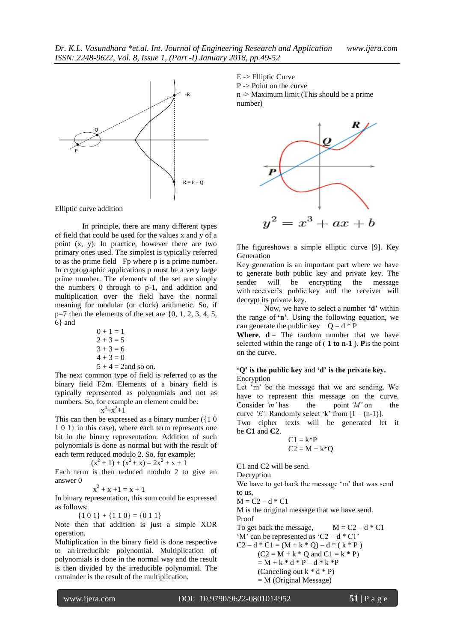

Elliptic curve addition

In principle, there are many different types of field that could be used for the values x and y of a point (x, y). In practice, however there are two primary ones used. The simplest is typically referred to as the prime field Fp where p is a prime number. In cryptographic applications p must be a very large prime number. The elements of the set are simply the numbers 0 through to p-1, and addition and multiplication over the field have the normal meaning for modular (or clock) arithmetic. So, if  $p=7$  then the elements of the set are  $\{0, 1, 2, 3, 4, 5,$ 6} and

$$
0 + 1 = 1
$$
  
2 + 3 = 5  
3 + 3 = 6  
4 + 3 = 0  
5 + 4 = 2 and so on.

The next common type of field is referred to as the binary field F2m. Elements of a binary field is typically represented as polynomials and not as numbers. So, for example an element could be: x x

## $+x^2+1$

This can then be expressed as a binary number  $(10$ 1 0 1} in this case), where each term represents one bit in the binary representation. Addition of such polynomials is done as normal but with the result of each term reduced modulo 2. So, for example:

$$
(x2 + 1) + (x2 + x) = 2x2 + x + 1
$$

Each term is then reduced modulo 2 to give an answer 0

$$
x^2 + x + 1 = x + 1
$$

In binary representation, this sum could be expressed as follows:

 ${101} + {110} = {011}$ 

Note then that addition is just a simple XOR operation.

Multiplication in the binary field is done respective to an irreducible polynomial. Multiplication of polynomials is done in the normal way and the result is then divided by the irreducible polynomial. The remainder is the result of the multiplication.

E -> Elliptic Curve P -> Point on the curve

n -> Maximum limit (This should be a prime number)



The figureshows a simple elliptic curve [9]. Key Generation

Key generation is an important part where we have to generate both public key and private key. The sender will be encrypting the message with receiver's public key and the receiver will decrypt its private key.

Now, we have to select a number **'d'** within the range of **'n'**. Using the following equation, we can generate the public key  $Q = d * P$ 

**Where,**  $d =$  The random number that we have selected within the range of ( **1 to n-1** ). **P**is the point on the curve.

#### **'Q' is the public key** and **'d' is the private key.** Encryption

Let "m" be the message that we are sending. We have to represent this message on the curve.<br>Consider 'm' has the point 'M' on the Consider *'m'* has the point *'M'* on the curve 'E'. Randomly select 'k' from  $[1 - (n-1)]$ . Two cipher texts will be generated let it be **C1** and **C2**.

$$
C1 = k^*P
$$

$$
C2 = M + k^*Q
$$

C1 and C2 will be send.

Decryption

We have to get back the message 'm' that was send to us,

 $M = C2 - d * C1$ 

M is the original message that we have send.

Proof To get back the message,  $M = C2 - d * C1$ 'M' can be represented as 'C2 –  $d * Cl'$  $C2 - d * C1 = (M + k * Q) - d * (k * P)$  $(C2 = M + k * Q$  and  $C1 = k * P$ )  $= M + k * d * P - d * k * P$ (Canceling out  $k * d * P$ )

 $=$  M (Original Message)